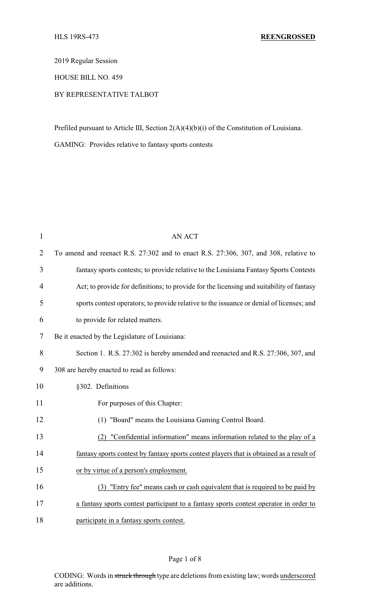2019 Regular Session

HOUSE BILL NO. 459

# BY REPRESENTATIVE TALBOT

Prefiled pursuant to Article III, Section 2(A)(4)(b)(i) of the Constitution of Louisiana.

GAMING: Provides relative to fantasy sports contests

| 1              | <b>AN ACT</b>                                                                            |
|----------------|------------------------------------------------------------------------------------------|
| $\overline{2}$ | To amend and reenact R.S. 27:302 and to enact R.S. 27:306, 307, and 308, relative to     |
| 3              | fantasy sports contests; to provide relative to the Louisiana Fantasy Sports Contests    |
| 4              | Act; to provide for definitions; to provide for the licensing and suitability of fantasy |
| 5              | sports contest operators; to provide relative to the issuance or denial of licenses; and |
| 6              | to provide for related matters.                                                          |
| 7              | Be it enacted by the Legislature of Louisiana:                                           |
| 8              | Section 1. R.S. 27:302 is hereby amended and reenacted and R.S. 27:306, 307, and         |
| 9              | 308 are hereby enacted to read as follows:                                               |
| 10             | §302. Definitions                                                                        |
| 11             | For purposes of this Chapter:                                                            |
| 12             | (1) "Board" means the Louisiana Gaming Control Board.                                    |
| 13             | "Confidential information" means information related to the play of a<br>(2)             |
| 14             | fantasy sports contest by fantasy sports contest players that is obtained as a result of |
| 15             | or by virtue of a person's employment.                                                   |
| 16             | (3) "Entry fee" means cash or cash equivalent that is required to be paid by             |
| 17             | a fantasy sports contest participant to a fantasy sports contest operator in order to    |
| 18             | participate in a fantasy sports contest.                                                 |

# Page 1 of 8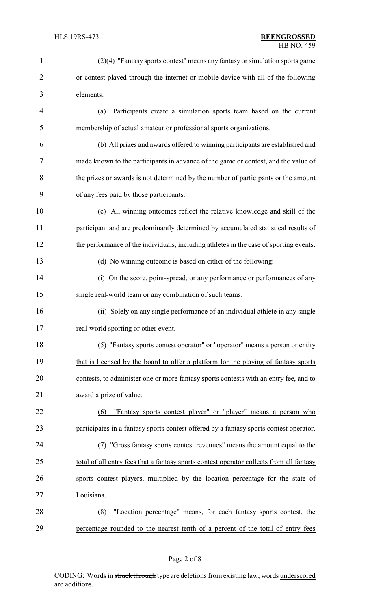| $\mathbf{1}$   | $(2)(4)$ "Fantasy sports contest" means any fantasy or simulation sports game            |
|----------------|------------------------------------------------------------------------------------------|
| $\overline{2}$ | or contest played through the internet or mobile device with all of the following        |
| 3              | elements:                                                                                |
| 4              | Participants create a simulation sports team based on the current<br>(a)                 |
| 5              | membership of actual amateur or professional sports organizations.                       |
| 6              | (b) All prizes and awards offered to winning participants are established and            |
| 7              | made known to the participants in advance of the game or contest, and the value of       |
| 8              | the prizes or awards is not determined by the number of participants or the amount       |
| 9              | of any fees paid by those participants.                                                  |
| 10             | (c) All winning outcomes reflect the relative knowledge and skill of the                 |
| 11             | participant and are predominantly determined by accumulated statistical results of       |
| 12             | the performance of the individuals, including athletes in the case of sporting events.   |
| 13             | (d) No winning outcome is based on either of the following:                              |
| 14             | (i) On the score, point-spread, or any performance or performances of any                |
| 15             | single real-world team or any combination of such teams.                                 |
| 16             | (ii) Solely on any single performance of an individual athlete in any single             |
| 17             | real-world sporting or other event.                                                      |
| 18             | (5) "Fantasy sports contest operator" or "operator" means a person or entity             |
| 19             | that is licensed by the board to offer a platform for the playing of fantasy sports      |
| 20             | contests, to administer one or more fantasy sports contests with an entry fee, and to    |
| 21             | award a prize of value.                                                                  |
| 22             | "Fantasy sports contest player" or "player" means a person who<br>(6)                    |
| 23             | participates in a fantasy sports contest offered by a fantasy sports contest operator.   |
| 24             | "Gross fantasy sports contest revenues" means the amount equal to the<br>(7)             |
| 25             | total of all entry fees that a fantasy sports contest operator collects from all fantasy |
| 26             | sports contest players, multiplied by the location percentage for the state of           |
| 27             | Louisiana.                                                                               |
| 28             | "Location percentage" means, for each fantasy sports contest, the<br>(8)                 |
| 29             | percentage rounded to the nearest tenth of a percent of the total of entry fees          |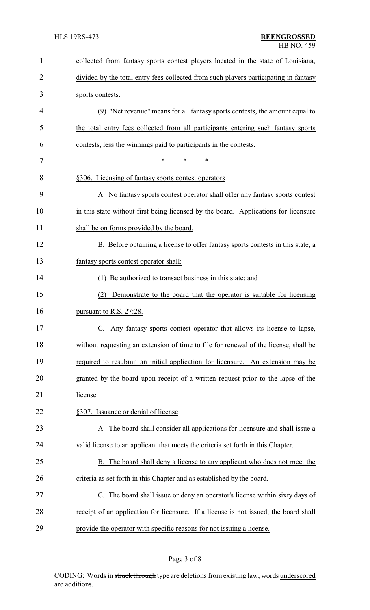| 1              | collected from fantasy sports contest players located in the state of Louisiana,     |
|----------------|--------------------------------------------------------------------------------------|
| $\overline{2}$ | divided by the total entry fees collected from such players participating in fantasy |
| 3              | sports contests.                                                                     |
| 4              | (9) "Net revenue" means for all fantasy sports contests, the amount equal to         |
| 5              | the total entry fees collected from all participants entering such fantasy sports    |
| 6              | contests, less the winnings paid to participants in the contests.                    |
| 7              | $\ast$<br>*<br>*                                                                     |
| 8              | §306. Licensing of fantasy sports contest operators                                  |
| 9              | A. No fantasy sports contest operator shall offer any fantasy sports contest         |
| 10             | in this state without first being licensed by the board. Applications for licensure  |
| 11             | shall be on forms provided by the board.                                             |
| 12             | B. Before obtaining a license to offer fantasy sports contests in this state, a      |
| 13             | fantasy sports contest operator shall:                                               |
| 14             | (1) Be authorized to transact business in this state; and                            |
| 15             | (2)<br>Demonstrate to the board that the operator is suitable for licensing          |
| 16             | pursuant to R.S. 27:28.                                                              |
| 17             | C. Any fantasy sports contest operator that allows its license to lapse,             |
| 18             | without requesting an extension of time to file for renewal of the license, shall be |
| 19             | required to resubmit an initial application for licensure. An extension may be       |
| 20             | granted by the board upon receipt of a written request prior to the lapse of the     |
| 21             | license.                                                                             |
| 22             | §307. Issuance or denial of license                                                  |
| 23             | A. The board shall consider all applications for licensure and shall issue a         |
| 24             | valid license to an applicant that meets the criteria set forth in this Chapter.     |
| 25             | B. The board shall deny a license to any applicant who does not meet the             |
| 26             | criteria as set forth in this Chapter and as established by the board.               |
| 27             | The board shall issue or deny an operator's license within sixty days of             |
| 28             | receipt of an application for licensure. If a license is not issued, the board shall |
| 29             | provide the operator with specific reasons for not issuing a license.                |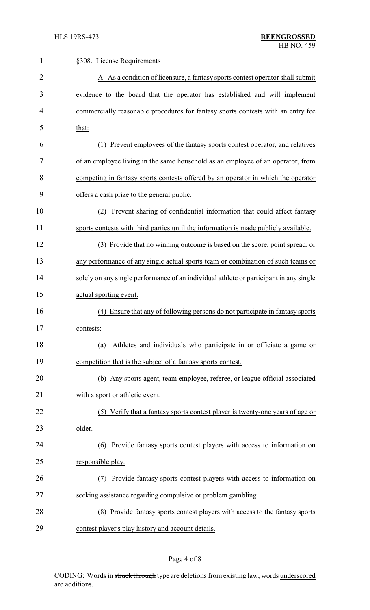| $\mathbf{1}$ | §308. License Requirements                                                             |
|--------------|----------------------------------------------------------------------------------------|
| 2            | A. As a condition of licensure, a fantasy sports contest operator shall submit         |
| 3            | evidence to the board that the operator has established and will implement             |
| 4            | commercially reasonable procedures for fantasy sports contests with an entry fee       |
| 5            | that:                                                                                  |
| 6            | Prevent employees of the fantasy sports contest operator, and relatives                |
| 7            | of an employee living in the same household as an employee of an operator, from        |
| 8            | competing in fantasy sports contests offered by an operator in which the operator      |
| 9            | offers a cash prize to the general public.                                             |
| 10           | Prevent sharing of confidential information that could affect fantasy<br>(2)           |
| 11           | sports contests with third parties until the information is made publicly available.   |
| 12           | (3) Provide that no winning outcome is based on the score, point spread, or            |
| 13           | any performance of any single actual sports team or combination of such teams or       |
| 14           | solely on any single performance of an individual athlete or participant in any single |
| 15           | actual sporting event.                                                                 |
| 16           | Ensure that any of following persons do not participate in fantasy sports<br>(4)       |
| 17           | contests:                                                                              |
| 18           | Athletes and individuals who participate in or officiate a game or<br>(a)              |
| 19           | competition that is the subject of a fantasy sports contest.                           |
| 20           | (b) Any sports agent, team employee, referee, or league official associated            |
| 21           | with a sport or athletic event.                                                        |
| 22           | (5) Verify that a fantasy sports contest player is twenty-one years of age or          |
| 23           | older.                                                                                 |
| 24           | Provide fantasy sports contest players with access to information on<br>(6)            |
| 25           | responsible play.                                                                      |
| 26           | Provide fantasy sports contest players with access to information on                   |
| 27           | seeking assistance regarding compulsive or problem gambling.                           |
| 28           | (8) Provide fantasy sports contest players with access to the fantasy sports           |
| 29           | contest player's play history and account details.                                     |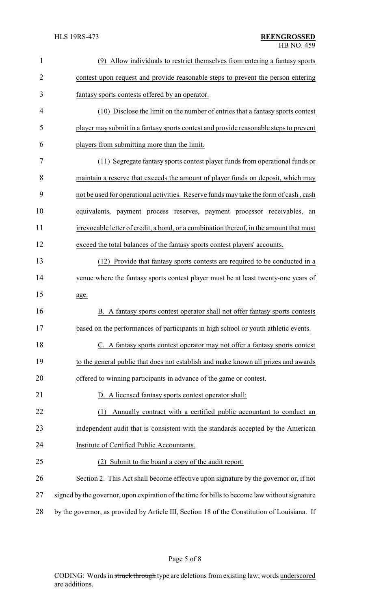| $\mathbf{1}$   | Allow individuals to restrict themselves from entering a fantasy sports<br>(9)                |
|----------------|-----------------------------------------------------------------------------------------------|
| $\overline{2}$ | contest upon request and provide reasonable steps to prevent the person entering              |
| 3              | fantasy sports contests offered by an operator.                                               |
| 4              | (10) Disclose the limit on the number of entries that a fantasy sports contest                |
| 5              | player may submit in a fantasy sports contest and provide reasonable steps to prevent         |
| 6              | players from submitting more than the limit.                                                  |
| 7              | (11) Segregate fantasy sports contest player funds from operational funds or                  |
| 8              | maintain a reserve that exceeds the amount of player funds on deposit, which may              |
| 9              | not be used for operational activities. Reserve funds may take the form of cash, cash         |
| 10             | equivalents,<br>payment process reserves, payment processor receivables,<br>an                |
| 11             | irrevocable letter of credit, a bond, or a combination thereof, in the amount that must       |
| 12             | exceed the total balances of the fantasy sports contest players' accounts.                    |
| 13             | Provide that fantasy sports contests are required to be conducted in a<br>(12)                |
| 14             | venue where the fantasy sports contest player must be at least twenty-one years of            |
| 15             | age.                                                                                          |
| 16             | B. A fantasy sports contest operator shall not offer fantasy sports contests                  |
| 17             | based on the performances of participants in high school or youth athletic events             |
| 18             | C. A fantasy sports contest operator may not offer a fantasy sports contest                   |
| 19             | to the general public that does not establish and make known all prizes and awards            |
| 20             | offered to winning participants in advance of the game or contest.                            |
| 21             | D. A licensed fantasy sports contest operator shall:                                          |
| 22             | Annually contract with a certified public accountant to conduct an<br>(1)                     |
| 23             | independent audit that is consistent with the standards accepted by the American              |
| 24             | Institute of Certified Public Accountants.                                                    |
| 25             | Submit to the board a copy of the audit report.<br>(2)                                        |
| 26             | Section 2. This Act shall become effective upon signature by the governor or, if not          |
| 27             | signed by the governor, upon expiration of the time for bills to become law without signature |
| 28             | by the governor, as provided by Article III, Section 18 of the Constitution of Louisiana. If  |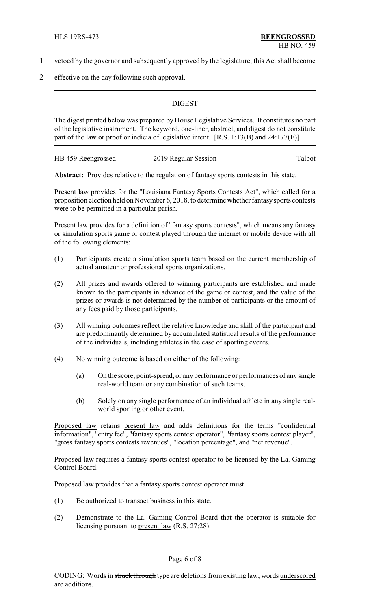- 1 vetoed by the governor and subsequently approved by the legislature, this Act shall become
- 2 effective on the day following such approval.

### **DIGEST**

The digest printed below was prepared by House Legislative Services. It constitutes no part of the legislative instrument. The keyword, one-liner, abstract, and digest do not constitute part of the law or proof or indicia of legislative intent. [R.S. 1:13(B) and 24:177(E)]

HB 459 Reengrossed 2019 Regular Session Talbot

**Abstract:** Provides relative to the regulation of fantasy sports contests in this state.

Present law provides for the "Louisiana Fantasy Sports Contests Act", which called for a proposition election held on November 6, 2018, to determine whether fantasysports contests were to be permitted in a particular parish.

Present law provides for a definition of "fantasy sports contests", which means any fantasy or simulation sports game or contest played through the internet or mobile device with all of the following elements:

- (1) Participants create a simulation sports team based on the current membership of actual amateur or professional sports organizations.
- (2) All prizes and awards offered to winning participants are established and made known to the participants in advance of the game or contest, and the value of the prizes or awards is not determined by the number of participants or the amount of any fees paid by those participants.
- (3) All winning outcomes reflect the relative knowledge and skill of the participant and are predominantly determined by accumulated statistical results of the performance of the individuals, including athletes in the case of sporting events.
- (4) No winning outcome is based on either of the following:
	- (a) On the score, point-spread, or any performance or performances of any single real-world team or any combination of such teams.
	- (b) Solely on any single performance of an individual athlete in any single realworld sporting or other event.

Proposed law retains present law and adds definitions for the terms "confidential information", "entry fee", "fantasy sports contest operator", "fantasy sports contest player", "gross fantasy sports contests revenues", "location percentage", and "net revenue".

Proposed law requires a fantasy sports contest operator to be licensed by the La. Gaming Control Board.

Proposed law provides that a fantasy sports contest operator must:

- (1) Be authorized to transact business in this state.
- (2) Demonstrate to the La. Gaming Control Board that the operator is suitable for licensing pursuant to present law (R.S. 27:28).

#### Page 6 of 8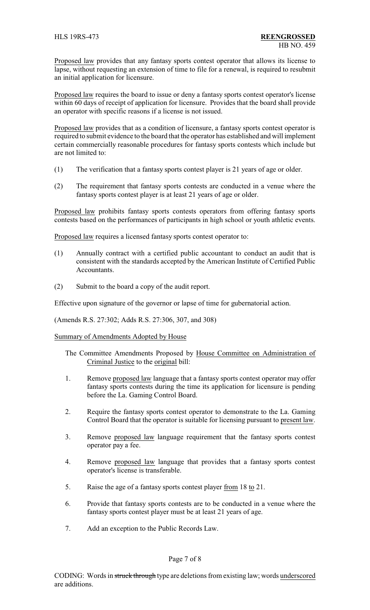Proposed law provides that any fantasy sports contest operator that allows its license to lapse, without requesting an extension of time to file for a renewal, is required to resubmit an initial application for licensure.

Proposed law requires the board to issue or deny a fantasy sports contest operator's license within 60 days of receipt of application for licensure. Provides that the board shall provide an operator with specific reasons if a license is not issued.

Proposed law provides that as a condition of licensure, a fantasy sports contest operator is required to submit evidence to the board that the operator has established and will implement certain commercially reasonable procedures for fantasy sports contests which include but are not limited to:

- (1) The verification that a fantasy sports contest player is 21 years of age or older.
- (2) The requirement that fantasy sports contests are conducted in a venue where the fantasy sports contest player is at least 21 years of age or older.

Proposed law prohibits fantasy sports contests operators from offering fantasy sports contests based on the performances of participants in high school or youth athletic events.

Proposed law requires a licensed fantasy sports contest operator to:

- (1) Annually contract with a certified public accountant to conduct an audit that is consistent with the standards accepted by the American Institute of Certified Public Accountants.
- (2) Submit to the board a copy of the audit report.

Effective upon signature of the governor or lapse of time for gubernatorial action.

(Amends R.S. 27:302; Adds R.S. 27:306, 307, and 308)

### Summary of Amendments Adopted by House

- The Committee Amendments Proposed by House Committee on Administration of Criminal Justice to the original bill:
- 1. Remove proposed law language that a fantasy sports contest operator may offer fantasy sports contests during the time its application for licensure is pending before the La. Gaming Control Board.
- 2. Require the fantasy sports contest operator to demonstrate to the La. Gaming Control Board that the operator is suitable for licensing pursuant to present law.
- 3. Remove proposed law language requirement that the fantasy sports contest operator pay a fee.
- 4. Remove proposed law language that provides that a fantasy sports contest operator's license is transferable.
- 5. Raise the age of a fantasy sports contest player from 18 to 21.
- 6. Provide that fantasy sports contests are to be conducted in a venue where the fantasy sports contest player must be at least 21 years of age.
- 7. Add an exception to the Public Records Law.